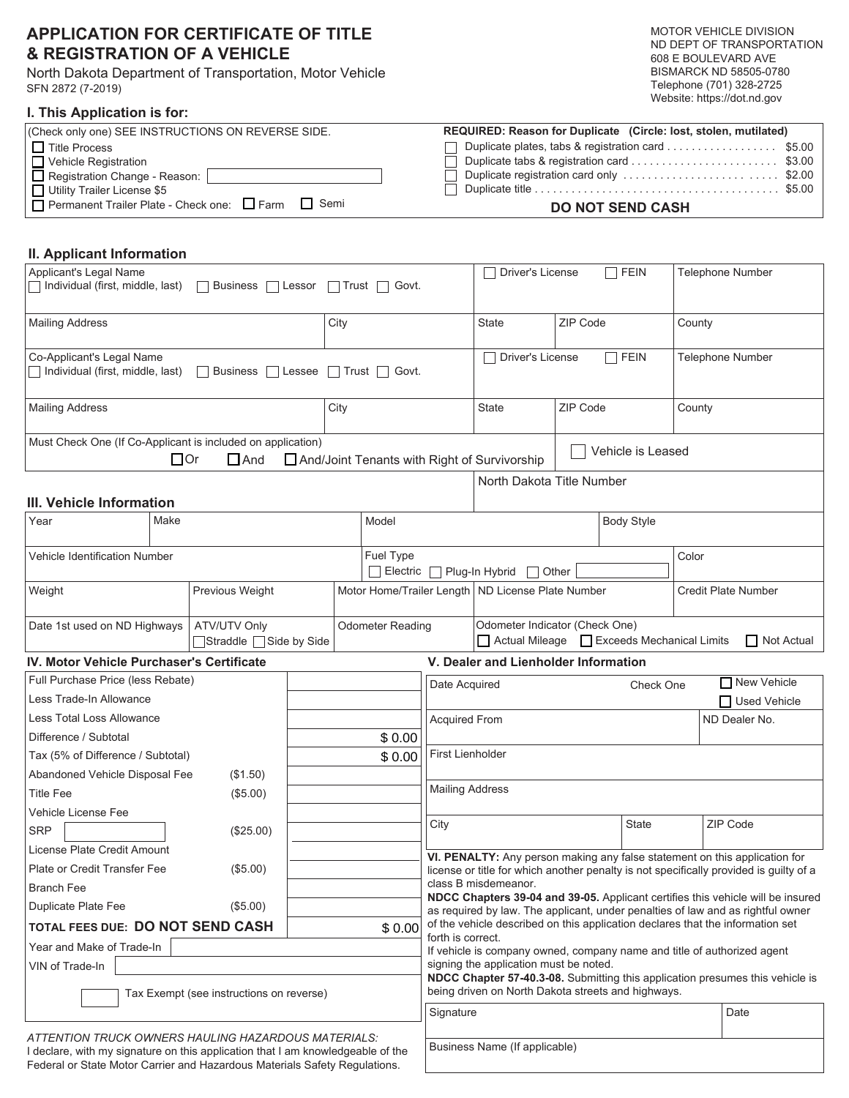# **APPLICATION FOR CERTIFICATE OF TITLE & REGISTRATION OF A VEHICLE**

North Dakota Department of Transportation, Motor Vehicle SFN 2872 (7-2019)

Federal or State Motor Carrier and Hazardous Materials Safety Regulations.

#### **I. This Application is for:**

|                          | <b>MOTOR VEHICLE DIVISION</b> |  |  |  |
|--------------------------|-------------------------------|--|--|--|
|                          | ND DEPT OF TRANSPORTATION     |  |  |  |
|                          | 608 E BOULEVARD AVE           |  |  |  |
|                          | BISMARCK ND 58505-0780        |  |  |  |
| Telephone (701) 328-2725 |                               |  |  |  |
|                          | Website: https://dot.nd.gov   |  |  |  |

| (Check only one) SEE INSTRUCTIONS ON REVERSE SIDE.   | REQUIRED: Reason for Duplicate (Circle: lost, stolen, mutilated) |
|------------------------------------------------------|------------------------------------------------------------------|
| $\Box$ Title Process                                 | Duplicate plates, tabs & registration card \$5.00                |
| I D Vehicle Registration                             |                                                                  |
| Registration Change - Reason:                        | Duplicate registration card only \$2.00                          |
| Utility Trailer License \$5                          |                                                                  |
| □ Permanent Trailer Plate - Check one: □ Farm □ Semi | <b>DO NOT SEND CASH</b>                                          |

## **II. Applicant Information**

| Applicant's Legal Name<br>Individual (first, middle, last)<br>  Business   Lessor<br>    Trust     Govt.                                                    |                         |                                                                                                         |                                                                                                                                                                   |                                           | Driver's License                                                                                                                                                                                                                                                              |        | <b>FEIN</b>             |                     | Telephone Number                                                                       |  |
|-------------------------------------------------------------------------------------------------------------------------------------------------------------|-------------------------|---------------------------------------------------------------------------------------------------------|-------------------------------------------------------------------------------------------------------------------------------------------------------------------|-------------------------------------------|-------------------------------------------------------------------------------------------------------------------------------------------------------------------------------------------------------------------------------------------------------------------------------|--------|-------------------------|---------------------|----------------------------------------------------------------------------------------|--|
| <b>Mailing Address</b>                                                                                                                                      |                         | City                                                                                                    |                                                                                                                                                                   | <b>State</b>                              | ZIP Code                                                                                                                                                                                                                                                                      |        | County                  |                     |                                                                                        |  |
| Co-Applicant's Legal Name<br>$\Box$ Individual (first, middle, last)                                                                                        | <b>□</b> Lessee         | Trust □ Govt.                                                                                           |                                                                                                                                                                   | <b>Driver's License</b><br>$\Box$         |                                                                                                                                                                                                                                                                               | 7 FEIN | <b>Telephone Number</b> |                     |                                                                                        |  |
| <b>Mailing Address</b>                                                                                                                                      |                         | City                                                                                                    |                                                                                                                                                                   | <b>State</b>                              | ZIP Code                                                                                                                                                                                                                                                                      |        | County                  |                     |                                                                                        |  |
| Must Check One (If Co-Applicant is included on application)<br>Vehicle is Leased<br>$\Box$ Or<br>$\Box$ And<br>And/Joint Tenants with Right of Survivorship |                         |                                                                                                         |                                                                                                                                                                   |                                           |                                                                                                                                                                                                                                                                               |        |                         |                     |                                                                                        |  |
| III. Vehicle Information                                                                                                                                    |                         |                                                                                                         |                                                                                                                                                                   |                                           | North Dakota Title Number                                                                                                                                                                                                                                                     |        |                         |                     |                                                                                        |  |
| Year                                                                                                                                                        | Make                    |                                                                                                         |                                                                                                                                                                   | Model<br><b>Body Style</b>                |                                                                                                                                                                                                                                                                               |        |                         |                     |                                                                                        |  |
| Vehicle Identification Number                                                                                                                               |                         | Fuel Type<br>Electric<br>Plug-In Hybrid<br>Other<br>$\Box$                                              |                                                                                                                                                                   |                                           |                                                                                                                                                                                                                                                                               |        | Color                   |                     |                                                                                        |  |
| Weight<br>Previous Weight                                                                                                                                   |                         |                                                                                                         | Motor Home/Trailer Length   ND License Plate Number                                                                                                               |                                           |                                                                                                                                                                                                                                                                               |        |                         | Credit Plate Number |                                                                                        |  |
| Date 1st used on ND Highways                                                                                                                                | □Straddle □Side by Side | <b>Odometer Reading</b><br>Odometer Indicator (Check One)<br>Actual Mileage   Exceeds Mechanical Limits |                                                                                                                                                                   |                                           |                                                                                                                                                                                                                                                                               |        | <b>□ Not Actual</b>     |                     |                                                                                        |  |
| IV. Motor Vehicle Purchaser's Certificate                                                                                                                   |                         |                                                                                                         |                                                                                                                                                                   |                                           | V. Dealer and Lienholder Information                                                                                                                                                                                                                                          |        |                         |                     |                                                                                        |  |
| Full Purchase Price (less Rebate)                                                                                                                           |                         |                                                                                                         |                                                                                                                                                                   | New Vehicle<br>Date Acquired<br>Check One |                                                                                                                                                                                                                                                                               |        |                         |                     |                                                                                        |  |
| Less Trade-In Allowance                                                                                                                                     |                         |                                                                                                         |                                                                                                                                                                   |                                           |                                                                                                                                                                                                                                                                               |        |                         | □ Used Vehicle      |                                                                                        |  |
| Less Total Loss Allowance                                                                                                                                   |                         |                                                                                                         | ND Dealer No.<br><b>Acquired From</b>                                                                                                                             |                                           |                                                                                                                                                                                                                                                                               |        |                         |                     |                                                                                        |  |
| Difference / Subtotal                                                                                                                                       |                         |                                                                                                         | \$0.00                                                                                                                                                            |                                           |                                                                                                                                                                                                                                                                               |        |                         |                     |                                                                                        |  |
| Tax (5% of Difference / Subtotal)                                                                                                                           |                         | \$0.00                                                                                                  | <b>First Lienholder</b>                                                                                                                                           |                                           |                                                                                                                                                                                                                                                                               |        |                         |                     |                                                                                        |  |
| Abandoned Vehicle Disposal Fee<br>(\$1.50)                                                                                                                  |                         |                                                                                                         |                                                                                                                                                                   |                                           |                                                                                                                                                                                                                                                                               |        |                         |                     |                                                                                        |  |
| <b>Title Fee</b><br>(\$5.00)                                                                                                                                |                         |                                                                                                         |                                                                                                                                                                   |                                           | <b>Mailing Address</b>                                                                                                                                                                                                                                                        |        |                         |                     |                                                                                        |  |
| Vehicle License Fee                                                                                                                                         |                         |                                                                                                         |                                                                                                                                                                   | City                                      |                                                                                                                                                                                                                                                                               |        | <b>State</b>            |                     | ZIP Code                                                                               |  |
| <b>SRP</b>                                                                                                                                                  | (\$25.00)               |                                                                                                         |                                                                                                                                                                   |                                           |                                                                                                                                                                                                                                                                               |        |                         |                     |                                                                                        |  |
| License Plate Credit Amount                                                                                                                                 |                         |                                                                                                         |                                                                                                                                                                   |                                           |                                                                                                                                                                                                                                                                               |        |                         |                     | VI. PENALTY: Any person making any false statement on this application for             |  |
| Plate or Credit Transfer Fee                                                                                                                                | (\$5.00)                |                                                                                                         |                                                                                                                                                                   |                                           | class B misdemeanor.                                                                                                                                                                                                                                                          |        |                         |                     | license or title for which another penalty is not specifically provided is guilty of a |  |
| <b>Branch Fee</b><br>(\$5.00)                                                                                                                               |                         |                                                                                                         |                                                                                                                                                                   |                                           |                                                                                                                                                                                                                                                                               |        |                         |                     | NDCC Chapters 39-04 and 39-05. Applicant certifies this vehicle will be insured        |  |
| Duplicate Plate Fee<br>TOTAL FEES DUE: DO NOT SEND CASH                                                                                                     |                         | \$0.00                                                                                                  | as required by law. The applicant, under penalties of law and as rightful owner<br>of the vehicle described on this application declares that the information set |                                           |                                                                                                                                                                                                                                                                               |        |                         |                     |                                                                                        |  |
| Year and Make of Trade-In                                                                                                                                   |                         |                                                                                                         |                                                                                                                                                                   |                                           | forth is correct.<br>If vehicle is company owned, company name and title of authorized agent<br>signing the application must be noted.<br>NDCC Chapter 57-40.3-08. Submitting this application presumes this vehicle is<br>being driven on North Dakota streets and highways. |        |                         |                     |                                                                                        |  |
| VIN of Trade-In                                                                                                                                             |                         |                                                                                                         |                                                                                                                                                                   |                                           |                                                                                                                                                                                                                                                                               |        |                         |                     |                                                                                        |  |
| Tax Exempt (see instructions on reverse)                                                                                                                    |                         |                                                                                                         |                                                                                                                                                                   |                                           |                                                                                                                                                                                                                                                                               |        |                         |                     |                                                                                        |  |
|                                                                                                                                                             |                         |                                                                                                         |                                                                                                                                                                   | Signature                                 |                                                                                                                                                                                                                                                                               |        |                         |                     | Date                                                                                   |  |
| ATTENTION TRUCK OWNERS HAULING HAZARDOUS MATERIALS:<br>I declare, with my signature on this application that I am knowledgeable of the                      |                         |                                                                                                         |                                                                                                                                                                   |                                           | Business Name (If applicable)                                                                                                                                                                                                                                                 |        |                         |                     |                                                                                        |  |